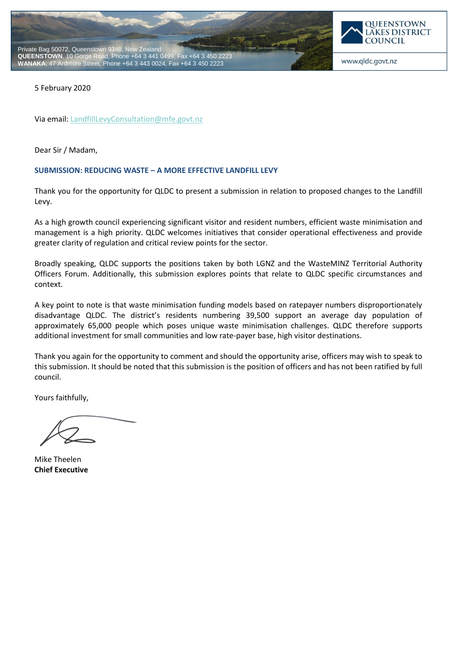



www.qldc.govt.nz

5 February 2020

Via email[: LandfillLevyConsultation@mfe.govt.nz](mailto:LandfillLevyConsultation@mfe.govt.nz?subject=Enquiry)

Dear Sir / Madam,

## **SUBMISSION: REDUCING WASTE – A MORE EFFECTIVE LANDFILL LEVY**

Thank you for the opportunity for QLDC to present a submission in relation to proposed changes to the Landfill Levy.

As a high growth council experiencing significant visitor and resident numbers, efficient waste minimisation and management is a high priority. QLDC welcomes initiatives that consider operational effectiveness and provide greater clarity of regulation and critical review points for the sector.

Broadly speaking, QLDC supports the positions taken by both LGNZ and the WasteMINZ Territorial Authority Officers Forum. Additionally, this submission explores points that relate to QLDC specific circumstances and context.

A key point to note is that waste minimisation funding models based on ratepayer numbers disproportionately disadvantage QLDC. The district's residents numbering 39,500 support an average day population of approximately 65,000 people which poses unique waste minimisation challenges. QLDC therefore supports additional investment for small communities and low rate-payer base, high visitor destinations.

Thank you again for the opportunity to comment and should the opportunity arise, officers may wish to speak to this submission. It should be noted that this submission is the position of officers and has not been ratified by full council.

Yours faithfully,

Mike Theelen **Chief Executive**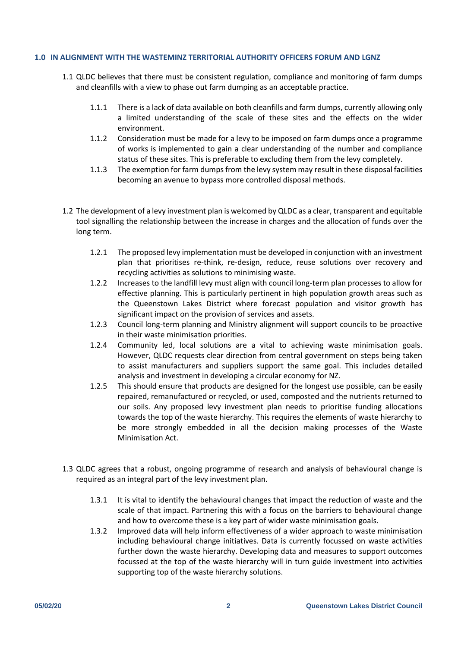## **1.0 IN ALIGNMENT WITH THE WASTEMINZ TERRITORIAL AUTHORITY OFFICERS FORUM AND LGNZ**

- 1.1 QLDC believes that there must be consistent regulation, compliance and monitoring of farm dumps and cleanfills with a view to phase out farm dumping as an acceptable practice.
	- 1.1.1 There is a lack of data available on both cleanfills and farm dumps, currently allowing only a limited understanding of the scale of these sites and the effects on the wider environment.
	- 1.1.2 Consideration must be made for a levy to be imposed on farm dumps once a programme of works is implemented to gain a clear understanding of the number and compliance status of these sites. This is preferable to excluding them from the levy completely.
	- 1.1.3 The exemption for farm dumps from the levy system may result in these disposal facilities becoming an avenue to bypass more controlled disposal methods.
- 1.2 The development of a levy investment plan is welcomed by QLDC as a clear, transparent and equitable tool signalling the relationship between the increase in charges and the allocation of funds over the long term.
	- 1.2.1 The proposed levy implementation must be developed in conjunction with an investment plan that prioritises re-think, re-design, reduce, reuse solutions over recovery and recycling activities as solutions to minimising waste.
	- 1.2.2 Increases to the landfill levy must align with council long-term plan processes to allow for effective planning. This is particularly pertinent in high population growth areas such as the Queenstown Lakes District where forecast population and visitor growth has significant impact on the provision of services and assets.
	- 1.2.3 Council long-term planning and Ministry alignment will support councils to be proactive in their waste minimisation priorities.
	- 1.2.4 Community led, local solutions are a vital to achieving waste minimisation goals. However, QLDC requests clear direction from central government on steps being taken to assist manufacturers and suppliers support the same goal. This includes detailed analysis and investment in developing a circular economy for NZ.
	- 1.2.5 This should ensure that products are designed for the longest use possible, can be easily repaired, remanufactured or recycled, or used, composted and the nutrients returned to our soils. Any proposed levy investment plan needs to prioritise funding allocations towards the top of the waste hierarchy. This requires the elements of waste hierarchy to be more strongly embedded in all the decision making processes of the Waste Minimisation Act.
- 1.3 QLDC agrees that a robust, ongoing programme of research and analysis of behavioural change is required as an integral part of the levy investment plan.
	- 1.3.1 It is vital to identify the behavioural changes that impact the reduction of waste and the scale of that impact. Partnering this with a focus on the barriers to behavioural change and how to overcome these is a key part of wider waste minimisation goals.
	- 1.3.2 Improved data will help inform effectiveness of a wider approach to waste minimisation including behavioural change initiatives. Data is currently focussed on waste activities further down the waste hierarchy. Developing data and measures to support outcomes focussed at the top of the waste hierarchy will in turn guide investment into activities supporting top of the waste hierarchy solutions.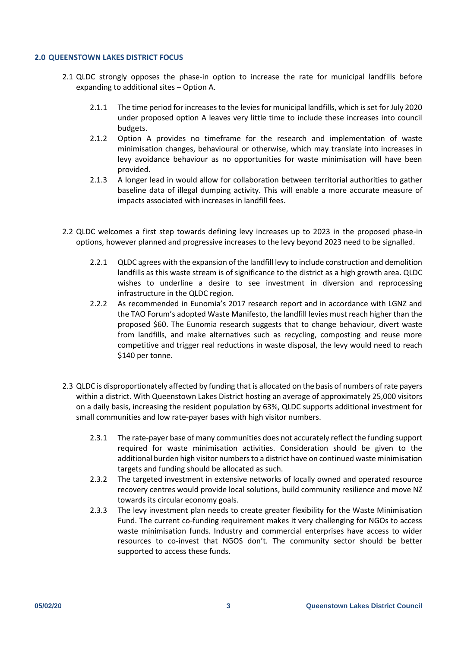## **2.0 QUEENSTOWN LAKES DISTRICT FOCUS**

- 2.1 QLDC strongly opposes the phase-in option to increase the rate for municipal landfills before expanding to additional sites – Option A.
	- 2.1.1 The time period for increases to the levies for municipal landfills, which is set for July 2020 under proposed option A leaves very little time to include these increases into council budgets.
	- 2.1.2 Option A provides no timeframe for the research and implementation of waste minimisation changes, behavioural or otherwise, which may translate into increases in levy avoidance behaviour as no opportunities for waste minimisation will have been provided.
	- 2.1.3 A longer lead in would allow for collaboration between territorial authorities to gather baseline data of illegal dumping activity. This will enable a more accurate measure of impacts associated with increases in landfill fees.
- 2.2 QLDC welcomes a first step towards defining levy increases up to 2023 in the proposed phase-in options, however planned and progressive increases to the levy beyond 2023 need to be signalled.
	- 2.2.1 QLDC agrees with the expansion of the landfill levy to include construction and demolition landfills as this waste stream is of significance to the district as a high growth area. QLDC wishes to underline a desire to see investment in diversion and reprocessing infrastructure in the QLDC region.
	- 2.2.2 As recommended in Eunomia's 2017 research report and in accordance with LGNZ and the TAO Forum's adopted Waste Manifesto, the landfill levies must reach higher than the proposed \$60. The Eunomia research suggests that to change behaviour, divert waste from landfills, and make alternatives such as recycling, composting and reuse more competitive and trigger real reductions in waste disposal, the levy would need to reach \$140 per tonne.
- 2.3 QLDC is disproportionately affected by funding that is allocated on the basis of numbers of rate payers within a district. With Queenstown Lakes District hosting an average of approximately 25,000 visitors on a daily basis, increasing the resident population by 63%, QLDC supports additional investment for small communities and low rate-payer bases with high visitor numbers.
	- 2.3.1 The rate-payer base of many communities does not accurately reflect the funding support required for waste minimisation activities. Consideration should be given to the additional burden high visitor numbers to a district have on continued waste minimisation targets and funding should be allocated as such.
	- 2.3.2 The targeted investment in extensive networks of locally owned and operated resource recovery centres would provide local solutions, build community resilience and move NZ towards its circular economy goals.
	- 2.3.3 The levy investment plan needs to create greater flexibility for the Waste Minimisation Fund. The current co-funding requirement makes it very challenging for NGOs to access waste minimisation funds. Industry and commercial enterprises have access to wider resources to co-invest that NGOS don't. The community sector should be better supported to access these funds.